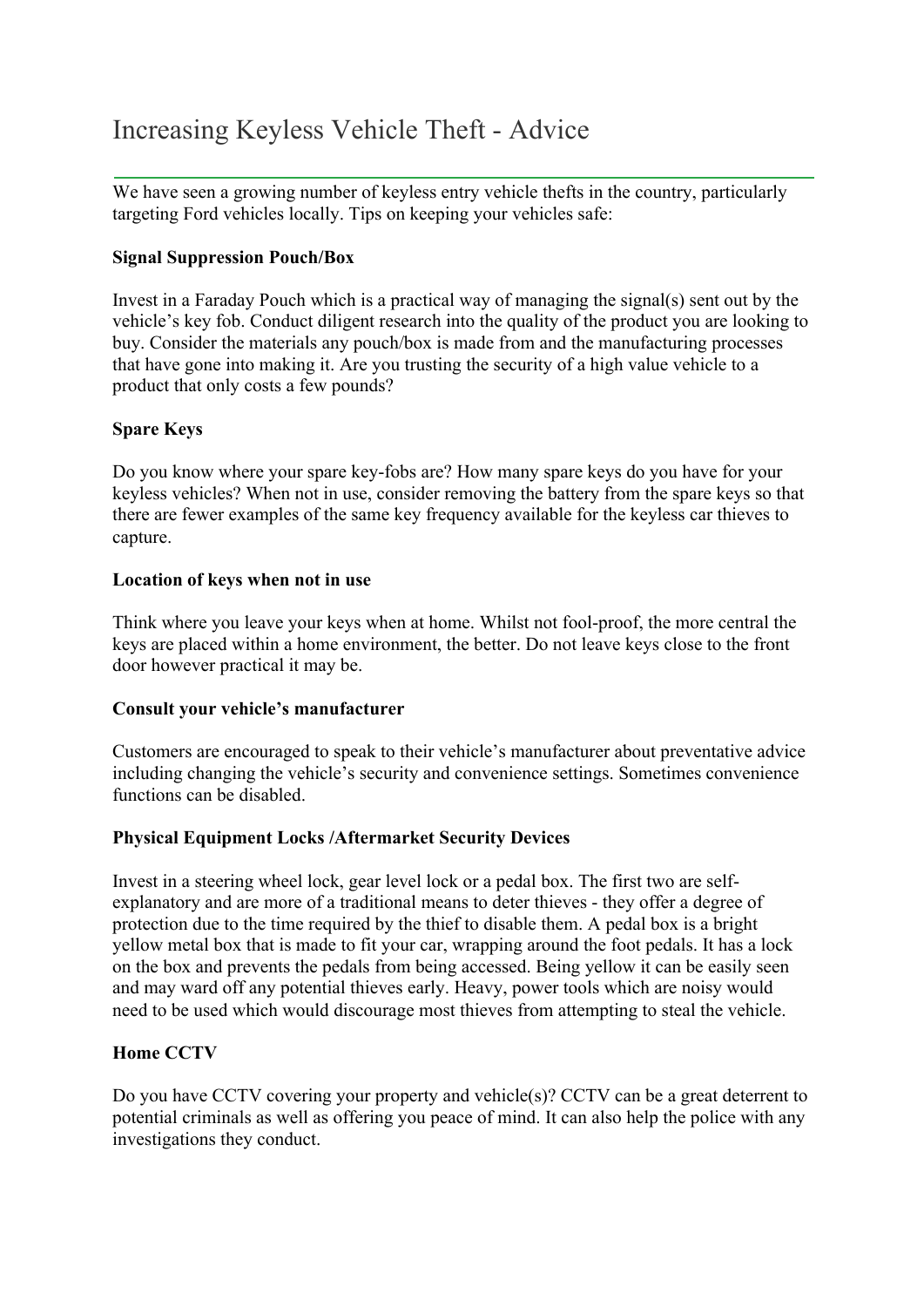# Increasing Keyless Vehicle Theft - Advice

We have seen a growing number of keyless entry vehicle thefts in the country, particularly targeting Ford vehicles locally. Tips on keeping your vehicles safe:

## **Signal Suppression Pouch/Box**

Invest in a Faraday Pouch which is a practical way of managing the signal(s) sent out by the vehicle's key fob. Conduct diligent research into the quality of the product you are looking to buy. Consider the materials any pouch/box is made from and the manufacturing processes that have gone into making it. Are you trusting the security of a high value vehicle to a product that only costs a few pounds?

# **Spare Keys**

Do you know where your spare key-fobs are? How many spare keys do you have for your keyless vehicles? When not in use, consider removing the battery from the spare keys so that there are fewer examples of the same key frequency available for the keyless car thieves to capture.

### **Location of keys when not in use**

Think where you leave your keys when at home. Whilst not fool-proof, the more central the keys are placed within a home environment, the better. Do not leave keys close to the front door however practical it may be.

### **Consult your vehicle's manufacturer**

Customers are encouraged to speak to their vehicle's manufacturer about preventative advice including changing the vehicle's security and convenience settings. Sometimes convenience functions can be disabled.

# **Physical Equipment Locks /Aftermarket Security Devices**

Invest in a steering wheel lock, gear level lock or a pedal box. The first two are selfexplanatory and are more of a traditional means to deter thieves - they offer a degree of protection due to the time required by the thief to disable them. A pedal box is a bright yellow metal box that is made to fit your car, wrapping around the foot pedals. It has a lock on the box and prevents the pedals from being accessed. Being yellow it can be easily seen and may ward off any potential thieves early. Heavy, power tools which are noisy would need to be used which would discourage most thieves from attempting to steal the vehicle.

### **Home CCTV**

Do you have CCTV covering your property and vehicle(s)? CCTV can be a great deterrent to potential criminals as well as offering you peace of mind. It can also help the police with any investigations they conduct.